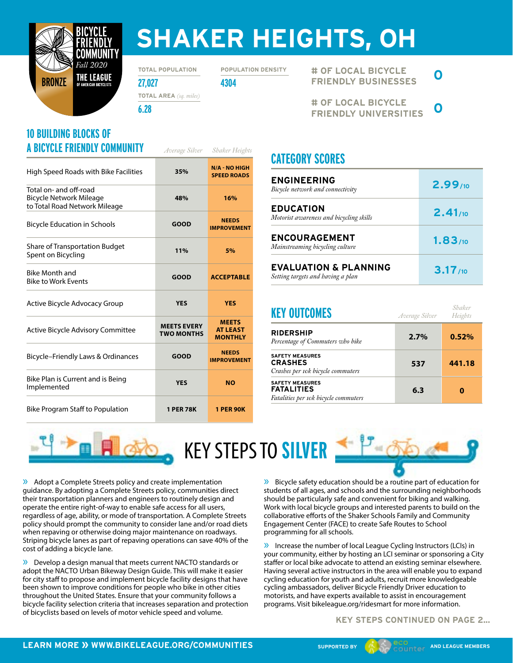

# **SHAKER HEIGHTS, OH**

**TOTAL POPULATION**

**POPULATION DENSITY**

**27,027 4304 TOTAL AREA** *(sq. miles)*

**6.28**

### **10 BUILDING BLOCKS OF A BICYCLE FRIENDLY COMMUNITY** *Average Silver Shaker Heights*

| High Speed Roads with Bike Facilities                                                     | 35%                                     | <b>N/A - NO HIGH</b><br><b>SPEED ROADS</b>        |
|-------------------------------------------------------------------------------------------|-----------------------------------------|---------------------------------------------------|
| Total on- and off-road<br><b>Bicycle Network Mileage</b><br>to Total Road Network Mileage | 48%                                     | 16%                                               |
| <b>Bicycle Education in Schools</b>                                                       | <b>GOOD</b>                             | <b>NEEDS</b><br><b>IMPROVEMENT</b>                |
| Share of Transportation Budget<br>Spent on Bicycling                                      | 11%                                     | 5%                                                |
| Bike Month and<br><b>Bike to Work Events</b>                                              | <b>GOOD</b>                             | <b>ACCEPTABLE</b>                                 |
| Active Bicycle Advocacy Group                                                             | <b>YES</b>                              | <b>YES</b>                                        |
| Active Bicycle Advisory Committee                                                         | <b>MEETS EVERY</b><br><b>TWO MONTHS</b> | <b>MEETS</b><br><b>AT LEAST</b><br><b>MONTHLY</b> |
| Bicycle-Friendly Laws & Ordinances                                                        | <b>GOOD</b>                             | <b>NEEDS</b><br><b>IMPROVEMENT</b>                |
| Bike Plan is Current and is Being<br>Implemented                                          | <b>YES</b>                              | <b>NO</b>                                         |
| <b>Bike Program Staff to Population</b>                                                   | <b>1 PER 78K</b>                        | <b>1 PER 90K</b>                                  |

**# OF LOCAL BICYCLE FRIENDLY BUSINESSES 0**

**# OF LOCAL BICYCLE FRIENDLY UNIVERSITIES 0**

## **CATEGORY SCORES**

| <b>ENGINEERING</b><br>Bicycle network and connectivity                | $2.99_{10}$ |
|-----------------------------------------------------------------------|-------------|
| <b>EDUCATION</b><br>Motorist awareness and bicycling skills           | $2.41_{10}$ |
| <b>ENCOURAGEMENT</b><br>Mainstreaming bicycling culture               | 1.83/10     |
| <b>EVALUATION &amp; PLANNING</b><br>Setting targets and having a plan | 3.17/10     |

| <b>KEY OUTCOMES</b>                                                                 | Average Silver | Shaker<br>Heights |
|-------------------------------------------------------------------------------------|----------------|-------------------|
| <b>RIDERSHIP</b><br>Percentage of Commuters who bike                                | 2.7%           | 0.52%             |
| <b>SAFETY MEASURES</b><br><b>CRASHES</b><br>Crashes per 10k bicycle commuters       | 537            | 441.18            |
| <b>SAFETY MEASURES</b><br><b>FATALITIES</b><br>Fatalities per 10k bicycle commuters | 6.3            | 0                 |

KEY STEPS TO **SILVER**

» Adopt a Complete Streets policy and create implementation guidance. By adopting a Complete Streets policy, communities direct their transportation planners and engineers to routinely design and operate the entire right-of-way to enable safe access for all users, regardless of age, ability, or mode of transportation. A Complete Streets policy should prompt the community to consider lane and/or road diets when repaving or otherwise doing major maintenance on roadways. Striping bicycle lanes as part of repaving operations can save 40% of the cost of adding a bicycle lane.

» Develop a design manual that meets current NACTO standards or adopt the NACTO Urban Bikeway Design Guide. This will make it easier for city staff to propose and implement bicycle facility designs that have been shown to improve conditions for people who bike in other cities throughout the United States. Ensure that your community follows a bicycle facility selection criteria that increases separation and protection of bicyclists based on levels of motor vehicle speed and volume.

» Bicycle safety education should be a routine part of education for students of all ages, and schools and the surrounding neighborhoods should be particularly safe and convenient for biking and walking. Work with local bicycle groups and interested parents to build on the collaborative efforts of the Shaker Schools Family and Community Engagement Center (FACE) to create Safe Routes to School programming for all schools.

» Increase the number of local League Cycling Instructors (LCIs) in your community, either by hosting an LCI seminar or sponsoring a City staffer or local bike advocate to attend an existing seminar elsewhere. Having several active instructors in the area will enable you to expand cycling education for youth and adults, recruit more knowledgeable cycling ambassadors, deliver Bicycle Friendly Driver education to motorists, and have experts available to assist in encouragement programs. Visit bikeleague.org/ridesmart for more information.

#### **KEY STEPS CONTINUED ON PAGE 2...**